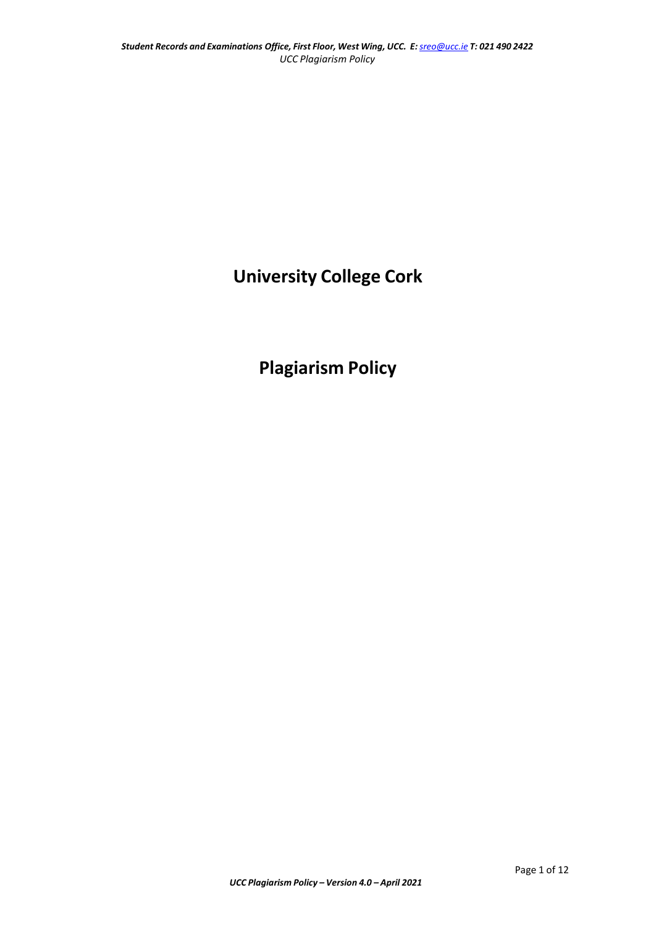# **University College Cork**

# **Plagiarism Policy**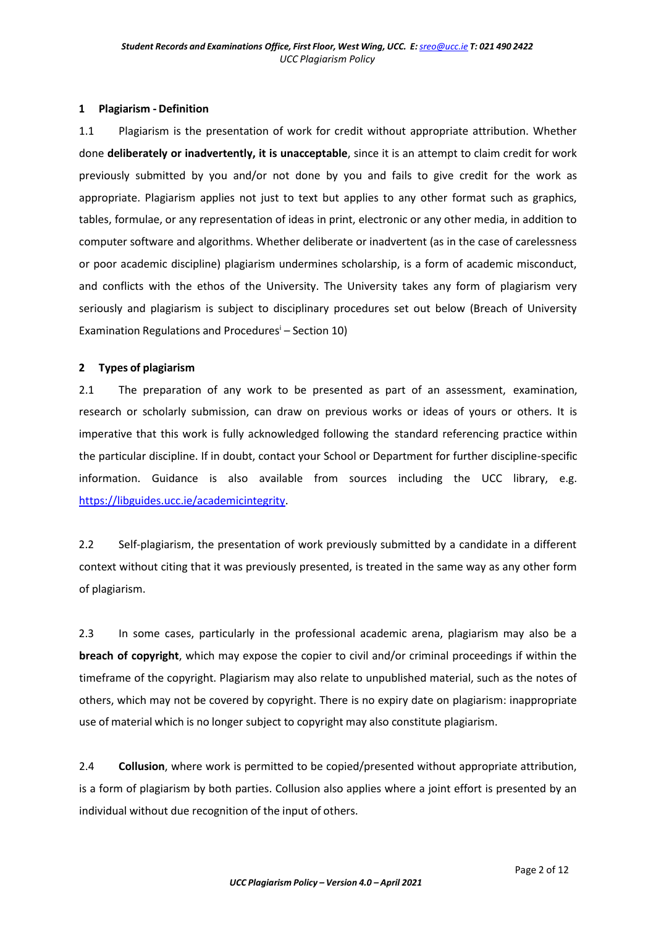#### **1 Plagiarism - Definition**

1.1 Plagiarism is the presentation of work for credit without appropriate attribution. Whether done **deliberately or inadvertently, it is unacceptable**, since it is an attempt to claim credit for work previously submitted by you and/or not done by you and fails to give credit for the work as appropriate. Plagiarism applies not just to text but applies to any other format such as graphics, tables, formulae, or any representation of ideas in print, electronic or any other media, in addition to computer software and algorithms. Whether deliberate or inadvertent (as in the case of carelessness or poor academic discipline) plagiarism undermines scholarship, is a form of academic misconduct, and conflicts with the ethos of the University. The University takes any form of plagiarism very seriously and plagiarism is subject to disciplinary procedures set out below (Breach of University Examination Regulations and Procedures<sup> $i$ </sup> – Section 10)

# **2 Types of plagiarism**

2.1 The preparation of any work to be presented as part of an assessment, examination, research or scholarly submission, can draw on previous works or ideas of yours or others. It is imperative that this work is fully acknowledged following the standard referencing practice within the particular discipline. If in doubt, contact your School or Department for further discipline-specific information. Guidance is also available from sources including the UCC library, e.g. [https://libguides.ucc.ie/academicintegrity.](https://libguides.ucc.ie/academicintegrity)

2.2 Self-plagiarism, the presentation of work previously submitted by a candidate in a different context without citing that it was previously presented, is treated in the same way as any other form of plagiarism.

2.3 In some cases, particularly in the professional academic arena, plagiarism may also be a **breach of copyright**, which may expose the copier to civil and/or criminal proceedings if within the timeframe of the copyright. Plagiarism may also relate to unpublished material, such as the notes of others, which may not be covered by copyright. There is no expiry date on plagiarism: inappropriate use of material which is no longer subject to copyright may also constitute plagiarism.

2.4 **Collusion**, where work is permitted to be copied/presented without appropriate attribution, is a form of plagiarism by both parties. Collusion also applies where a joint effort is presented by an individual without due recognition of the input of others.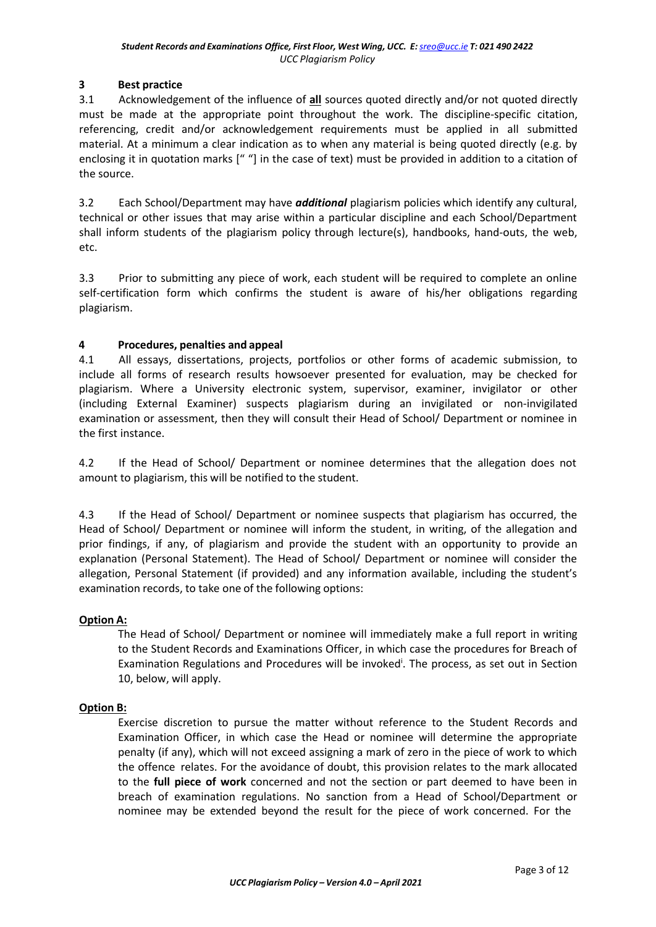# **3 Best practice**

3.1 Acknowledgement of the influence of **all** sources quoted directly and/or not quoted directly must be made at the appropriate point throughout the work. The discipline-specific citation, referencing, credit and/or acknowledgement requirements must be applied in all submitted material. At a minimum a clear indication as to when any material is being quoted directly (e.g. by enclosing it in quotation marks [" "] in the case of text) must be provided in addition to a citation of the source.

3.2 Each School/Department may have *additional* plagiarism policies which identify any cultural, technical or other issues that may arise within a particular discipline and each School/Department shall inform students of the plagiarism policy through lecture(s), handbooks, hand-outs, the web, etc.

3.3 Prior to submitting any piece of work, each student will be required to complete an online self-certification form which confirms the student is aware of his/her obligations regarding plagiarism.

# **4 Procedures, penalties and appeal**

4.1 All essays, dissertations, projects, portfolios or other forms of academic submission, to include all forms of research results howsoever presented for evaluation, may be checked for plagiarism. Where a University electronic system, supervisor, examiner, invigilator or other (including External Examiner) suspects plagiarism during an invigilated or non-invigilated examination or assessment, then they will consult their Head of School/ Department or nominee in the first instance.

4.2 If the Head of School/ Department or nominee determines that the allegation does not amount to plagiarism, this will be notified to the student.

4.3 If the Head of School/ Department or nominee suspects that plagiarism has occurred, the Head of School/ Department or nominee will inform the student, in writing, of the allegation and prior findings, if any, of plagiarism and provide the student with an opportunity to provide an explanation (Personal Statement). The Head of School/ Department or nominee will consider the allegation, Personal Statement (if provided) and any information available, including the student's examination records, to take one of the following options:

#### **Option A:**

The Head of School/ Department or nominee will immediately make a full report in writing to the Student Records and Examinations Officer, in which case the procedures for Breach of Examination Regulations and Procedures will be invoked<sup>i</sup>[. T](#page-11-0)he process, as set out in Section 10, below, will apply.

#### **Option B:**

Exercise discretion to pursue the matter without reference to the Student Records and Examination Officer, in which case the Head or nominee will determine the appropriate penalty (if any), which will not exceed assigning a mark of zero in the piece of work to which the offence relates. For the avoidance of doubt, this provision relates to the mark allocated to the **full piece of work** concerned and not the section or part deemed to have been in breach of examination regulations. No sanction from a Head of School/Department or nominee may be extended beyond the result for the piece of work concerned. For the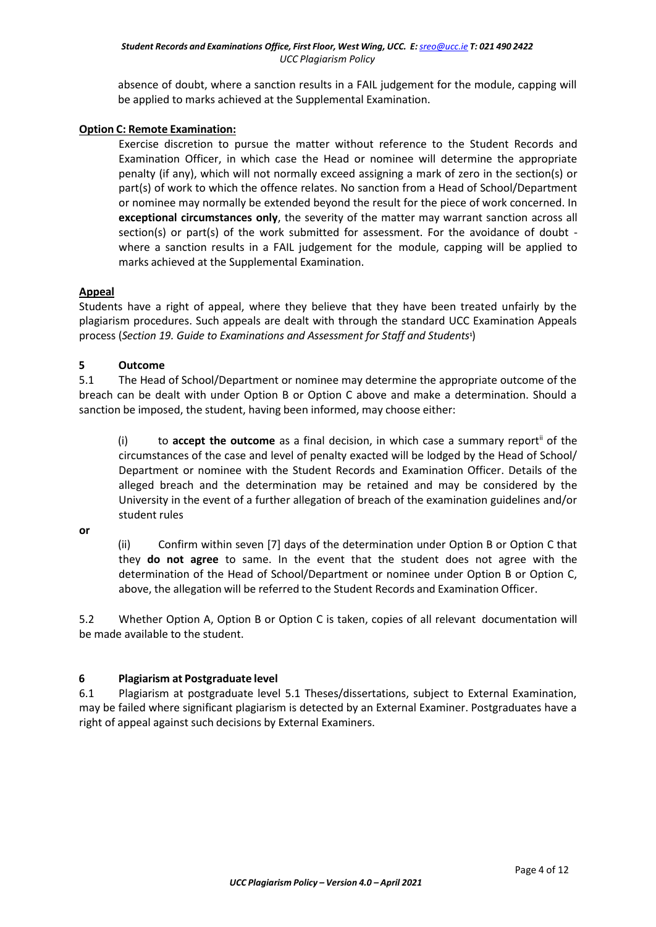absence of doubt, where a sanction results in a FAIL judgement for the module, capping will be applied to marks achieved at the Supplemental Examination.

# **Option C: Remote Examination:**

Exercise discretion to pursue the matter without reference to the Student Records and Examination Officer, in which case the Head or nominee will determine the appropriate penalty (if any), which will not normally exceed assigning a mark of zero in the section(s) or part(s) of work to which the offence relates. No sanction from a Head of School/Department or nominee may normally be extended beyond the result for the piece of work concerned. In **exceptional circumstances only**, the severity of the matter may warrant sanction across all section(s) or part(s) of the work submitted for assessment. For the avoidance of doubt where a sanction results in a FAIL judgement for the module, capping will be applied to marks achieved at the Supplemental Examination.

#### **Appeal**

Students have a right of appeal, where they believe that they have been treated unfairly by the plagiarism procedures. Such appeals are dealt with through the standard UCC Examination Appeals process (*Section 19. Guide to Examinations and Assessment for Staff and Students* **1** )

# **5 Outcome**

5.1 The Head of School/Department or nominee may determine the appropriate outcome of the breach can be dealt with under Option B or Option C above and make a determination. Should a sanction be imposed, the student, having been informed, may choose either:

(i) to **accept the outcome** as a final decision, in which case a summary repor[t](#page-11-1)ii of the circumstances of the case and level of penalty exacted will be lodged by the Head of School/ Department or nominee with the Student Records and Examination Officer. Details of the alleged breach and the determination may be retained and may be considered by the University in the event of a further allegation of breach of the examination guidelines and/or student rules

**or**

(ii) Confirm within seven [7] days of the determination under Option B or Option C that they **do not agree** to same. In the event that the student does not agree with the determination of the Head of School/Department or nominee under Option B or Option C, above, the allegation will be referred to the Student Records and Examination Officer.

5.2 Whether Option A, Option B or Option C is taken, copies of all relevant documentation will be made available to the student.

# **6 Plagiarism at Postgraduate level**

6.1 Plagiarism at postgraduate level 5.1 Theses/dissertations, subject to External Examination, may be failed where significant plagiarism is detected by an External Examiner. Postgraduates have a right of appeal against such decisions by External Examiners.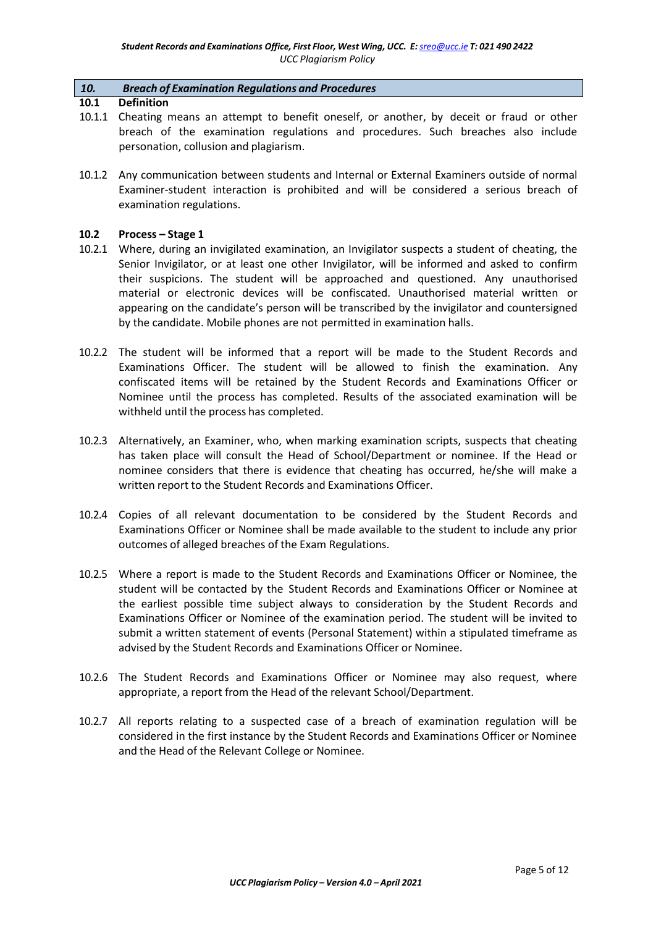#### *10. Breach of Examination Regulations and Procedures*

#### **10.1 Definition**

- 10.1.1 Cheating means an attempt to benefit oneself, or another, by deceit or fraud or other breach of the examination regulations and procedures. Such breaches also include personation, collusion and plagiarism.
- 10.1.2 Any communication between students and Internal or External Examiners outside of normal Examiner-student interaction is prohibited and will be considered a serious breach of examination regulations.

#### **10.2 Process – Stage 1**

- 10.2.1 Where, during an invigilated examination, an Invigilator suspects a student of cheating, the Senior Invigilator, or at least one other Invigilator, will be informed and asked to confirm their suspicions. The student will be approached and questioned. Any unauthorised material or electronic devices will be confiscated. Unauthorised material written or appearing on the candidate's person will be transcribed by the invigilator and countersigned by the candidate. Mobile phones are not permitted in examination halls.
- 10.2.2 The student will be informed that a report will be made to the Student Records and Examinations Officer. The student will be allowed to finish the examination. Any confiscated items will be retained by the Student Records and Examinations Officer or Nominee until the process has completed. Results of the associated examination will be withheld until the process has completed.
- 10.2.3 Alternatively, an Examiner, who, when marking examination scripts, suspects that cheating has taken place will consult the Head of School/Department or nominee. If the Head or nominee considers that there is evidence that cheating has occurred, he/she will make a written report to the Student Records and Examinations Officer.
- 10.2.4 Copies of all relevant documentation to be considered by the Student Records and Examinations Officer or Nominee shall be made available to the student to include any prior outcomes of alleged breaches of the Exam Regulations.
- 10.2.5 Where a report is made to the Student Records and Examinations Officer or Nominee, the student will be contacted by the Student Records and Examinations Officer or Nominee at the earliest possible time subject always to consideration by the Student Records and Examinations Officer or Nominee of the examination period. The student will be invited to submit a written statement of events (Personal Statement) within a stipulated timeframe as advised by the Student Records and Examinations Officer or Nominee.
- 10.2.6 The Student Records and Examinations Officer or Nominee may also request, where appropriate, a report from the Head of the relevant School/Department.
- 10.2.7 All reports relating to a suspected case of a breach of examination regulation will be considered in the first instance by the Student Records and Examinations Officer or Nominee and the Head of the Relevant College or Nominee.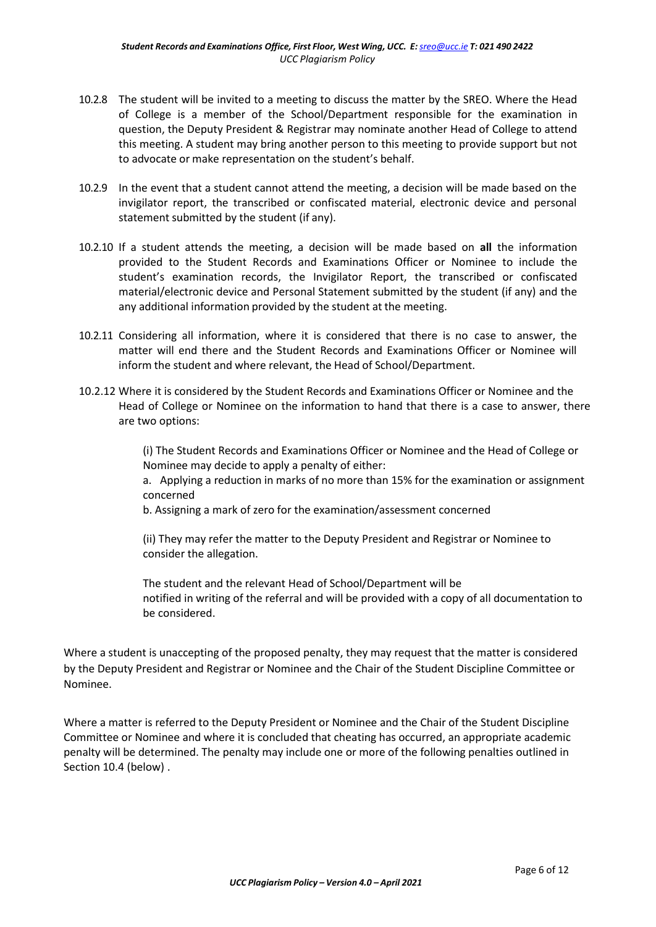- 10.2.8 The student will be invited to a meeting to discuss the matter by the SREO. Where the Head of College is a member of the School/Department responsible for the examination in question, the Deputy President & Registrar may nominate another Head of College to attend this meeting. A student may bring another person to this meeting to provide support but not to advocate or make representation on the student's behalf.
- 10.2.9 In the event that a student cannot attend the meeting, a decision will be made based on the invigilator report, the transcribed or confiscated material, electronic device and personal statement submitted by the student (if any).
- 10.2.10 If a student attends the meeting, a decision will be made based on **all** the information provided to the Student Records and Examinations Officer or Nominee to include the student's examination records, the Invigilator Report, the transcribed or confiscated material/electronic device and Personal Statement submitted by the student (if any) and the any additional information provided by the student at the meeting.
- 10.2.11 Considering all information, where it is considered that there is no case to answer, the matter will end there and the Student Records and Examinations Officer or Nominee will inform the student and where relevant, the Head of School/Department.
- 10.2.12 Where it is considered by the Student Records and Examinations Officer or Nominee and the Head of College or Nominee on the information to hand that there is a case to answer, there are two options:

(i) The Student Records and Examinations Officer or Nominee and the Head of College or Nominee may decide to apply a penalty of either:

a. Applying a reduction in marks of no more than 15% for the examination or assignment concerned

b. Assigning a mark of zero for the examination/assessment concerned

(ii) They may refer the matter to the Deputy President and Registrar or Nominee to consider the allegation.

The student and the relevant Head of School/Department will be notified in writing of the referral and will be provided with a copy of all documentation to be considered.

Where a student is unaccepting of the proposed penalty, they may request that the matter is considered by the Deputy President and Registrar or Nominee and the Chair of the Student Discipline Committee or Nominee.

Where a matter is referred to the Deputy President or Nominee and the Chair of the Student Discipline Committee or Nominee and where it is concluded that cheating has occurred, an appropriate academic penalty will be determined. The penalty may include one or more of the following penalties outlined in Section 10.4 (below) .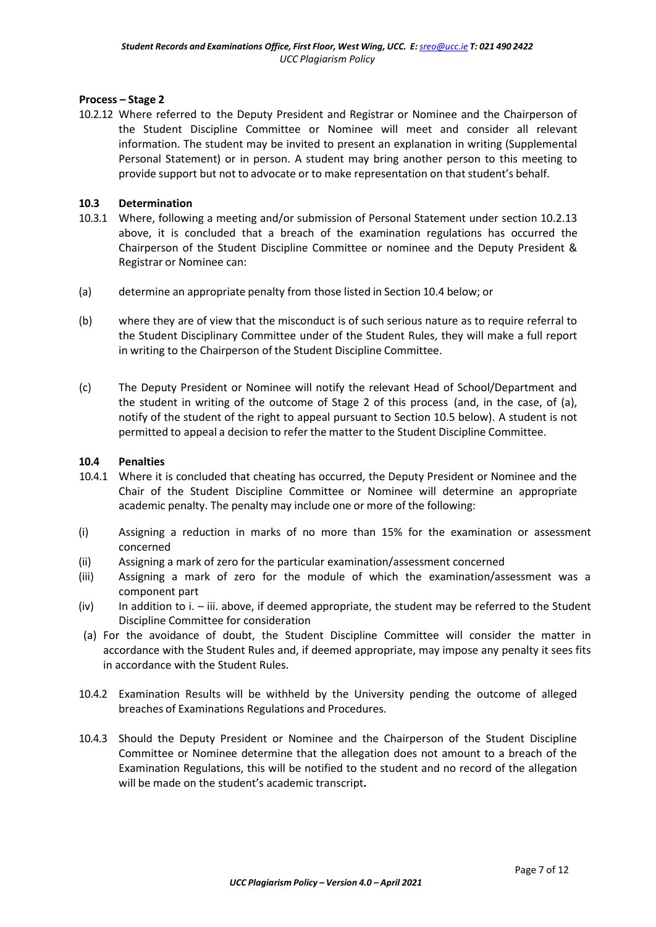# **Process – Stage 2**

10.2.12 Where referred to the Deputy President and Registrar or Nominee and the Chairperson of the Student Discipline Committee or Nominee will meet and consider all relevant information. The student may be invited to present an explanation in writing (Supplemental Personal Statement) or in person. A student may bring another person to this meeting to provide support but not to advocate or to make representation on that student's behalf.

# **10.3 Determination**

- 10.3.1 Where, following a meeting and/or submission of Personal Statement under section 10.2.13 above, it is concluded that a breach of the examination regulations has occurred the Chairperson of the Student Discipline Committee or nominee and the Deputy President & Registrar or Nominee can:
- (a) determine an appropriate penalty from those listed in Section 10.4 below; or
- (b) where they are of view that the misconduct is of such serious nature as to require referral to the Student Disciplinary Committee under of the Student Rules, they will make a full report in writing to the Chairperson of the Student Discipline Committee.
- (c) The Deputy President or Nominee will notify the relevant Head of School/Department and the student in writing of the outcome of Stage 2 of this process (and, in the case, of (a), notify of the student of the right to appeal pursuant to Section 10.5 below). A student is not permitted to appeal a decision to refer the matter to the Student Discipline Committee.

### **10.4 Penalties**

- 10.4.1 Where it is concluded that cheating has occurred, the Deputy President or Nominee and the Chair of the Student Discipline Committee or Nominee will determine an appropriate academic penalty. The penalty may include one or more of the following:
- (i) Assigning a reduction in marks of no more than 15% for the examination or assessment concerned
- (ii) Assigning a mark of zero for the particular examination/assessment concerned
- (iii) Assigning a mark of zero for the module of which the examination/assessment was a component part
- (iv) In addition to i. iii. above, if deemed appropriate, the student may be referred to the Student Discipline Committee for consideration
- (a) For the avoidance of doubt, the Student Discipline Committee will consider the matter in accordance with the Student Rules and, if deemed appropriate, may impose any penalty it sees fits in accordance with the Student Rules.
- 10.4.2 Examination Results will be withheld by the University pending the outcome of alleged breaches of Examinations Regulations and Procedures.
- 10.4.3 Should the Deputy President or Nominee and the Chairperson of the Student Discipline Committee or Nominee determine that the allegation does not amount to a breach of the Examination Regulations, this will be notified to the student and no record of the allegation will be made on the student's academic transcript**.**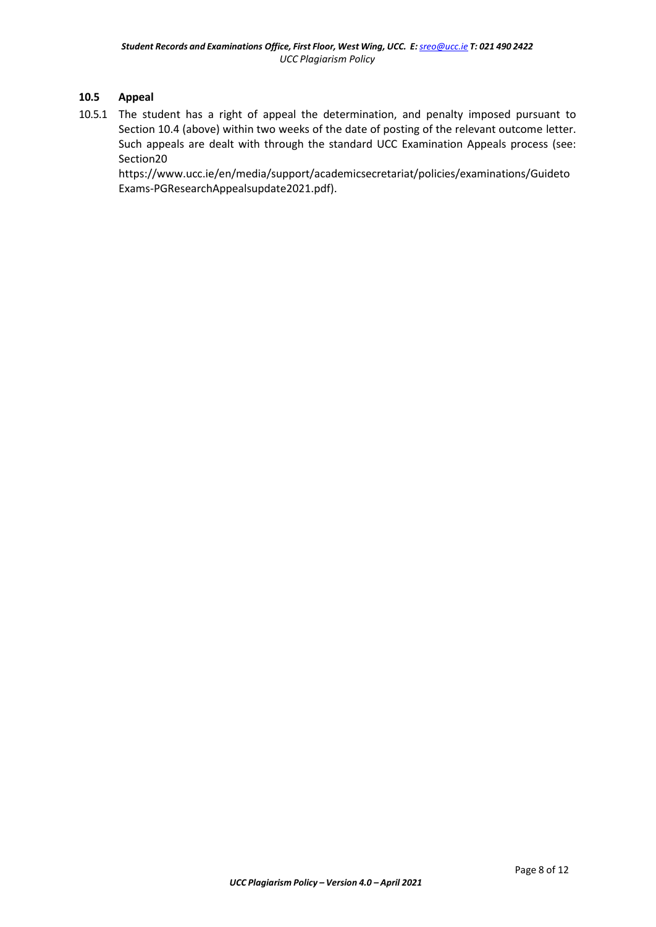### **10.5 Appeal**

10.5.1 The student has a right of appeal the determination, and penalty imposed pursuant to Section 10.4 (above) within two weeks of the date of posting of the relevant outcome letter. Such appeals are dealt with through the standard UCC Examination Appeals process (see: Section20

https:/[/www.ucc.ie/en/media/support/academicsecretariat/policies/examinations/Guideto](http://www.ucc.ie/en/media/support/academicsecretariat/policies/examinations/Guideto) Exams-PGResearchAppealsupdate2021.pdf).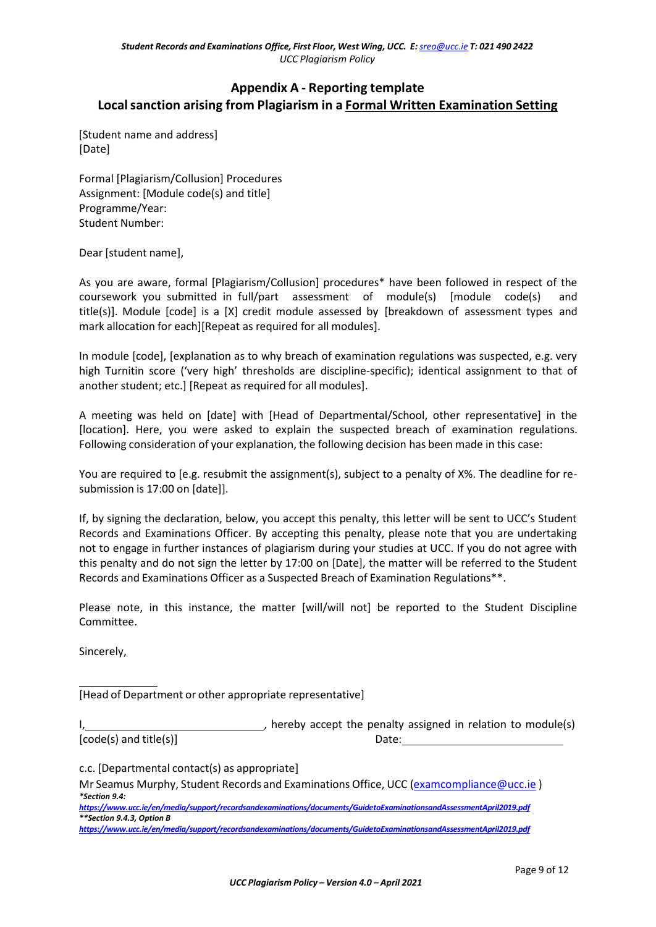# **Appendix A - Reporting template Localsanction arising from Plagiarism in a Formal Written Examination Setting**

[Student name and address] [Date]

Formal [Plagiarism/Collusion] Procedures Assignment: [Module code(s) and title] Programme/Year: Student Number:

Dear [student name],

As you are aware, formal [Plagiarism/Collusion] procedures\* have been followed in respect of the coursework you submitted in full/part assessment of module(s) [module code(s) and title(s)]. Module [code] is a [X] credit module assessed by [breakdown of assessment types and mark allocation for each][Repeat as required for all modules].

In module [code], [explanation as to why breach of examination regulations was suspected, e.g. very high Turnitin score ('very high' thresholds are discipline-specific); identical assignment to that of another student; etc.] [Repeat as required for all modules].

A meeting was held on [date] with [Head of Departmental/School, other representative] in the [location]. Here, you were asked to explain the suspected breach of examination regulations. Following consideration of your explanation, the following decision has been made in this case:

You are required to [e.g. resubmit the assignment(s), subject to a penalty of X%. The deadline for resubmission is 17:00 on [date]].

If, by signing the declaration, below, you accept this penalty, this letter will be sent to UCC's Student Records and Examinations Officer. By accepting this penalty, please note that you are undertaking not to engage in further instances of plagiarism during your studies at UCC. If you do not agree with this penalty and do not sign the letter by 17:00 on [Date], the matter will be referred to the Student Records and Examinations Officer as a Suspected Breach of Examination Regulations\*\*.

Please note, in this instance, the matter [will/will not] be reported to the Student Discipline Committee.

Sincerely,

[Head of Department or other appropriate representative]

J, hereby accept the penalty assigned in relation to module(s) [code(s) and title(s)] Date:

c.c. [Departmental contact(s) as appropriate]

Mr Seamus Murphy, Student Records and Examinations Office, UCC [\(examcompliance@ucc.ie](mailto:examcompliance@ucc.ie)) *\*Section 9.4:*

*<https://www.ucc.ie/en/media/support/recordsandexaminations/documents/GuidetoExaminationsandAssessmentApril2019.pdf> \*\*Section 9.4.3, Option B*

*<https://www.ucc.ie/en/media/support/recordsandexaminations/documents/GuidetoExaminationsandAssessmentApril2019.pdf>*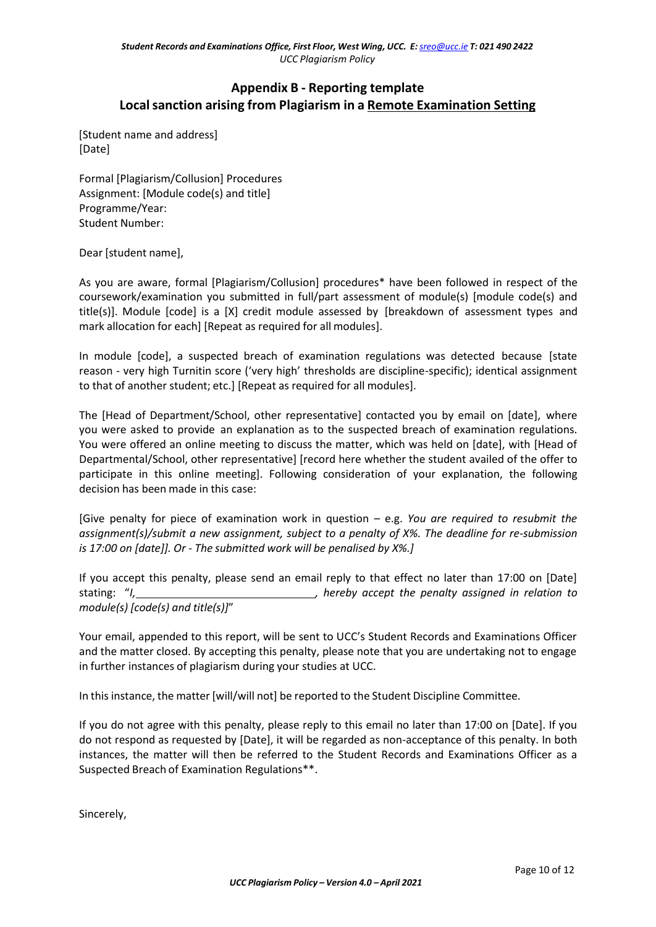# **Appendix B - Reporting template Localsanction arising from Plagiarism in a Remote Examination Setting**

[Student name and address] [Date]

Formal [Plagiarism/Collusion] Procedures Assignment: [Module code(s) and title] Programme/Year: Student Number:

Dear [student name],

As you are aware, formal [Plagiarism/Collusion] procedures\* have been followed in respect of the coursework/examination you submitted in full/part assessment of module(s) [module code(s) and title(s)]. Module [code] is a [X] credit module assessed by [breakdown of assessment types and mark allocation for each] [Repeat as required for all modules].

In module [code], a suspected breach of examination regulations was detected because [state reason - very high Turnitin score ('very high' thresholds are discipline-specific); identical assignment to that of another student; etc.] [Repeat as required for all modules].

The [Head of Department/School, other representative] contacted you by email on [date], where you were asked to provide an explanation as to the suspected breach of examination regulations. You were offered an online meeting to discuss the matter, which was held on [date], with [Head of Departmental/School, other representative] [record here whether the student availed of the offer to participate in this online meeting]. Following consideration of your explanation, the following decision has been made in this case:

[Give penalty for piece of examination work in question – e.g. *You are required to resubmit the assignment(s)/submit a new assignment, subject to a penalty of X%. The deadline for re-submission is 17:00 on [date]]. Or - The submitted work will be penalised by X%.]*

If you accept this penalty, please send an email reply to that effect no later than 17:00 on [Date] stating: "*I, , hereby accept the penalty assigned in relation to module(s) [code(s) and title(s)]*"

Your email, appended to this report, will be sent to UCC's Student Records and Examinations Officer and the matter closed. By accepting this penalty, please note that you are undertaking not to engage in further instances of plagiarism during your studies at UCC.

In this instance, the matter [will/will not] be reported to the Student Discipline Committee.

If you do not agree with this penalty, please reply to this email no later than 17:00 on [Date]. If you do not respond as requested by [Date], it will be regarded as non-acceptance of this penalty. In both instances, the matter will then be referred to the Student Records and Examinations Officer as a Suspected Breach of Examination Regulations\*\*.

Sincerely,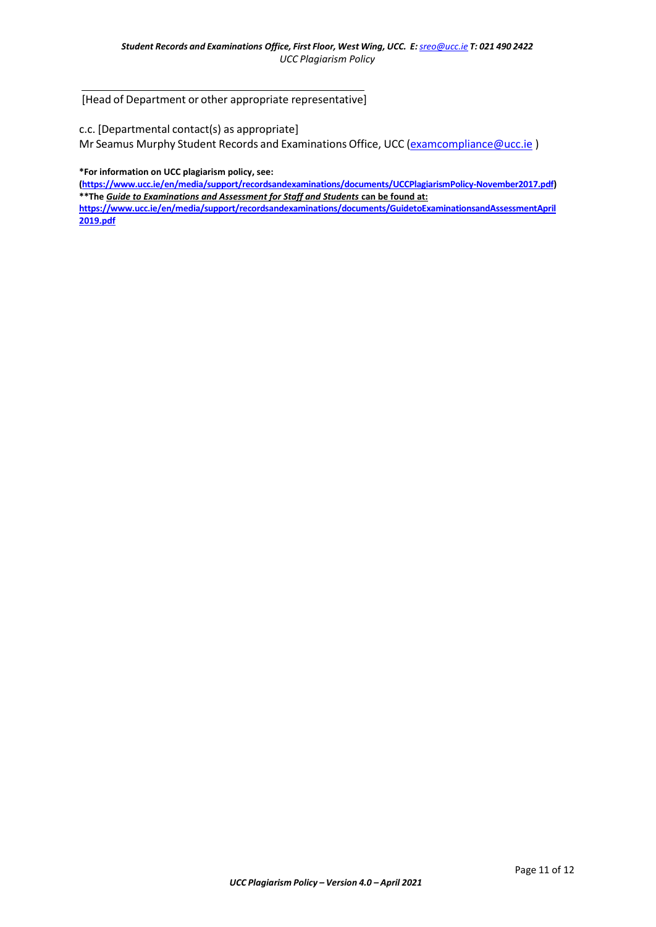[Head of Department or other appropriate representative]

c.c. [Departmental contact(s) as appropriate]

Mr Seamus Murphy Student Records and Examinations Office, UCC [\(examcompliance@ucc.ie](mailto:examcompliance@ucc.ie))

**\*For information on UCC plagiarism policy, see:**

**[\(https://www.ucc.ie/en/media/support/recordsandexaminations/documents/UCCPlagiarismPolicy-November2017.pdf\)](https://www.ucc.ie/en/media/support/recordsandexaminations/documents/UCCPlagiarismPolicy-November2017.pdf) \*\*The** *Guide to Examinations and Assessment for Staff and Students* **can be found at:**

**[https://www.ucc.ie/en/media/support/recordsandexaminations/documents/GuidetoExaminationsandAssessmentApril](https://www.ucc.ie/en/media/support/recordsandexaminations/documents/GuidetoExaminationsandAssessmentApril2019.pdf) [2019.pdf](https://www.ucc.ie/en/media/support/recordsandexaminations/documents/GuidetoExaminationsandAssessmentApril2019.pdf)**